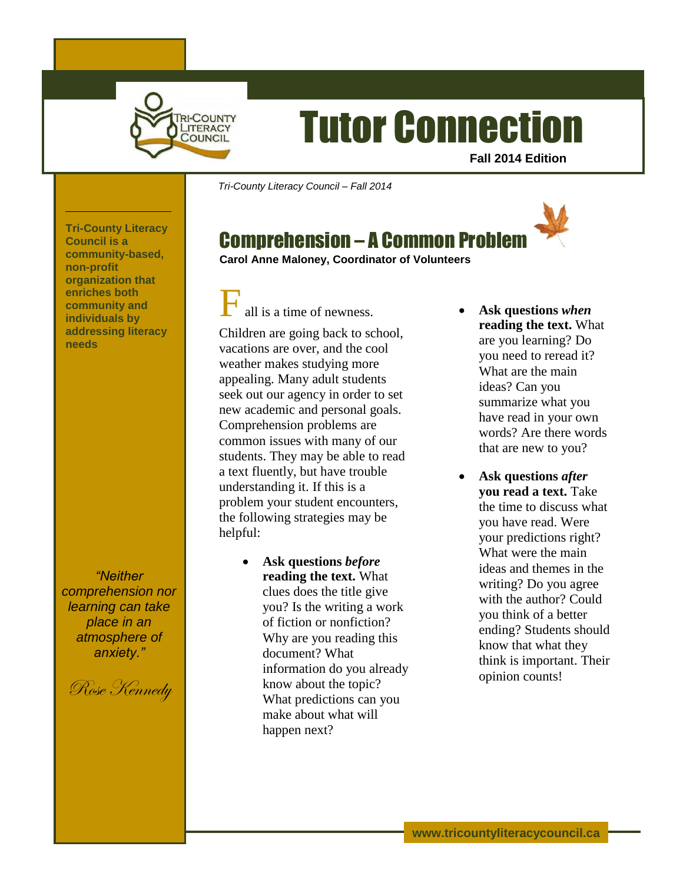

# Tutor Connection

**Fall 2014 Edition**

*Tri-County Literacy Council – Fall 2014*

# Comprehension – A Common Problem

**Tri-County Literacy Council is a community-based, non-profit organization that enriches both community and individuals by addressing literacy needs**

*"Neither comprehension nor learning can take place in an atmosphere of anxiety."*

Rose Kennedy

**Carol Anne Maloney, Coordinator of Volunteers**

all is a time of newness.

Children are going back to school, vacations are over, and the cool weather makes studying more appealing. Many adult students seek out our agency in order to set new academic and personal goals. Comprehension problems are common issues with many of our students. They may be able to read a text fluently, but have trouble understanding it. If this is a problem your student encounters, the following strategies may be helpful:

> **Ask questions** *before*  **reading the text.** What clues does the title give you? Is the writing a work of fiction or nonfiction? Why are you reading this document? What information do you already know about the topic? What predictions can you make about what will happen next?

- **Ask questions** *when* **reading the text.** What are you learning? Do you need to reread it? What are the main ideas? Can you summarize what you have read in your own words? Are there words that are new to you?
- **Ask questions** *after*  **you read a text.** Take the time to discuss what you have read. Were your predictions right? What were the main ideas and themes in the writing? Do you agree with the author? Could you think of a better ending? Students should know that what they think is important. Their opinion counts!